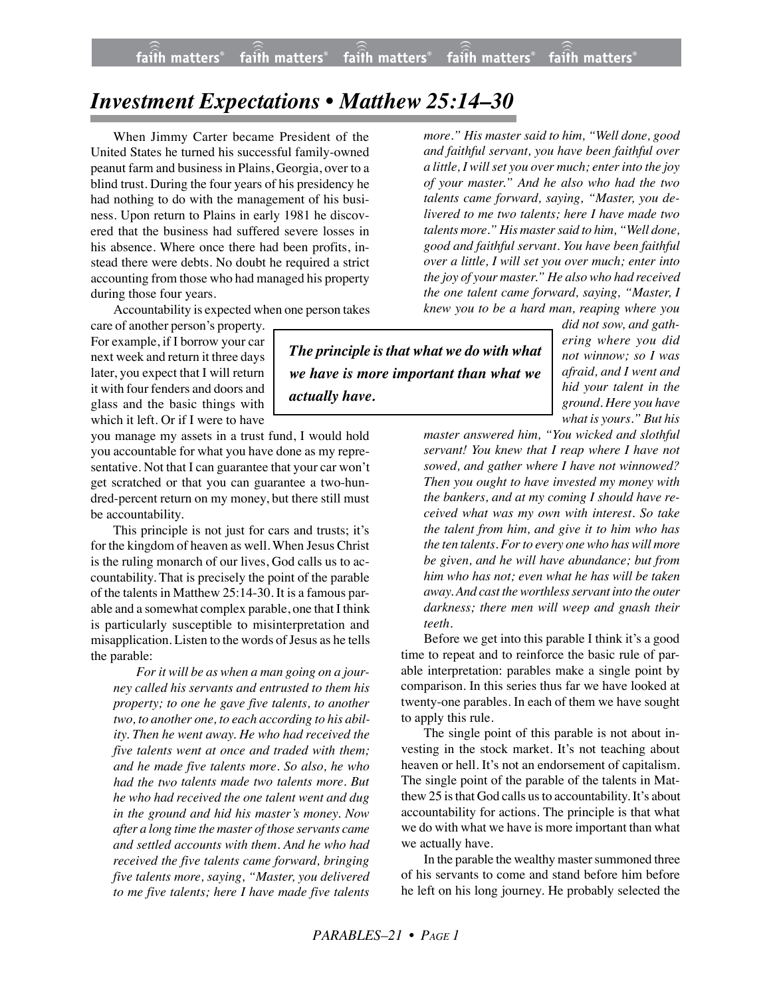## *Investment Expectations • Matthew 25:14–30*

When Jimmy Carter became President of the United States he turned his successful family-owned peanut farm and business in Plains, Georgia, over to a blind trust. During the four years of his presidency he had nothing to do with the management of his business. Upon return to Plains in early 1981 he discovered that the business had suffered severe losses in his absence. Where once there had been profits, instead there were debts. No doubt he required a strict accounting from those who had managed his property during those four years.

Accountability is expected when one person takes

care of another person's property. For example, if I borrow your car next week and return it three days later, you expect that I will return it with four fenders and doors and glass and the basic things with which it left. Or if I were to have

you manage my assets in a trust fund, I would hold you accountable for what you have done as my representative. Not that I can guarantee that your car won't get scratched or that you can guarantee a two-hundred-percent return on my money, but there still must be accountability.

This principle is not just for cars and trusts; it's for the kingdom of heaven as well. When Jesus Christ is the ruling monarch of our lives, God calls us to accountability. That is precisely the point of the parable of the talents in Matthew 25:14-30. It is a famous parable and a somewhat complex parable, one that I think is particularly susceptible to misinterpretation and misapplication. Listen to the words of Jesus as he tells the parable:

*For it will be as when a man going on a journey called his servants and entrusted to them his property; to one he gave five talents, to another two, to another one, to each according to his ability. Then he went away. He who had received the five talents went at once and traded with them; and he made five talents more. So also, he who had the two talents made two talents more. But he who had received the one talent went and dug in the ground and hid his master's money. Now after a long time the master of those servants came and settled accounts with them. And he who had received the five talents came forward, bringing five talents more, saying, "Master, you delivered to me five talents; here I have made five talents* *more." His master said to him, "Well done, good and faithful servant, you have been faithful over a little, I will set you over much; enter into the joy of your master." And he also who had the two talents came forward, saying, "Master, you delivered to me two talents; here I have made two talents more." His master said to him, "Well done, good and faithful servant. You have been faithful over a little, I will set you over much; enter into the joy of your master." He also who had received the one talent came forward, saying, "Master, I knew you to be a hard man, reaping where you*

*The principle is that what we do with what we have is more important than what we actually have.*

*did not sow, and gathering where you did not winnow; so I was afraid, and I went and hid your talent in the ground. Here you have what is yours." But his*

*master answered him, "You wicked and slothful servant! You knew that I reap where I have not sowed, and gather where I have not winnowed? Then you ought to have invested my money with the bankers, and at my coming I should have received what was my own with interest. So take the talent from him, and give it to him who has the ten talents. For to every one who has will more be given, and he will have abundance; but from him who has not; even what he has will be taken away. And cast the worthless servant into the outer darkness; there men will weep and gnash their teeth.*

Before we get into this parable I think it's a good time to repeat and to reinforce the basic rule of parable interpretation: parables make a single point by comparison. In this series thus far we have looked at twenty-one parables. In each of them we have sought to apply this rule.

The single point of this parable is not about investing in the stock market. It's not teaching about heaven or hell. It's not an endorsement of capitalism. The single point of the parable of the talents in Matthew 25 is that God calls us to accountability. It's about accountability for actions. The principle is that what we do with what we have is more important than what we actually have.

In the parable the wealthy master summoned three of his servants to come and stand before him before he left on his long journey. He probably selected the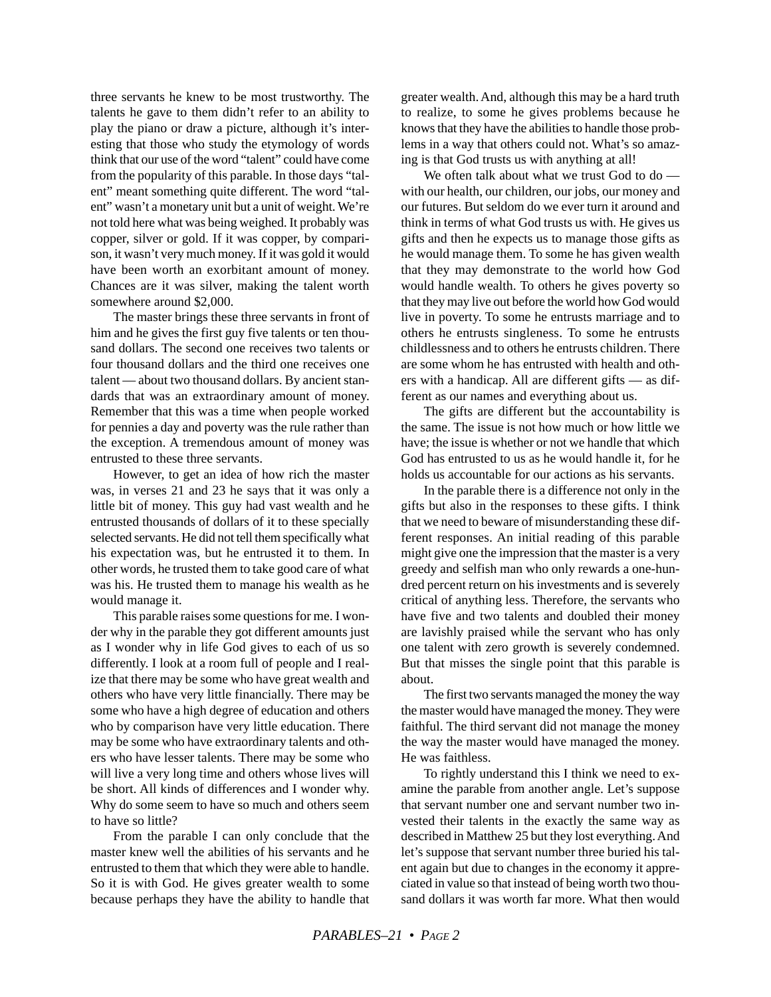three servants he knew to be most trustworthy. The talents he gave to them didn't refer to an ability to play the piano or draw a picture, although it's interesting that those who study the etymology of words think that our use of the word "talent" could have come from the popularity of this parable. In those days "talent" meant something quite different. The word "talent" wasn't a monetary unit but a unit of weight. We're not told here what was being weighed. It probably was copper, silver or gold. If it was copper, by comparison, it wasn't very much money. If it was gold it would have been worth an exorbitant amount of money. Chances are it was silver, making the talent worth somewhere around \$2,000.

The master brings these three servants in front of him and he gives the first guy five talents or ten thousand dollars. The second one receives two talents or four thousand dollars and the third one receives one talent — about two thousand dollars. By ancient standards that was an extraordinary amount of money. Remember that this was a time when people worked for pennies a day and poverty was the rule rather than the exception. A tremendous amount of money was entrusted to these three servants.

However, to get an idea of how rich the master was, in verses 21 and 23 he says that it was only a little bit of money. This guy had vast wealth and he entrusted thousands of dollars of it to these specially selected servants. He did not tell them specifically what his expectation was, but he entrusted it to them. In other words, he trusted them to take good care of what was his. He trusted them to manage his wealth as he would manage it.

This parable raises some questions for me. I wonder why in the parable they got different amounts just as I wonder why in life God gives to each of us so differently. I look at a room full of people and I realize that there may be some who have great wealth and others who have very little financially. There may be some who have a high degree of education and others who by comparison have very little education. There may be some who have extraordinary talents and others who have lesser talents. There may be some who will live a very long time and others whose lives will be short. All kinds of differences and I wonder why. Why do some seem to have so much and others seem to have so little?

From the parable I can only conclude that the master knew well the abilities of his servants and he entrusted to them that which they were able to handle. So it is with God. He gives greater wealth to some because perhaps they have the ability to handle that greater wealth. And, although this may be a hard truth to realize, to some he gives problems because he knows that they have the abilities to handle those problems in a way that others could not. What's so amazing is that God trusts us with anything at all!

We often talk about what we trust God to do with our health, our children, our jobs, our money and our futures. But seldom do we ever turn it around and think in terms of what God trusts us with. He gives us gifts and then he expects us to manage those gifts as he would manage them. To some he has given wealth that they may demonstrate to the world how God would handle wealth. To others he gives poverty so that they may live out before the world how God would live in poverty. To some he entrusts marriage and to others he entrusts singleness. To some he entrusts childlessness and to others he entrusts children. There are some whom he has entrusted with health and others with a handicap. All are different gifts — as different as our names and everything about us.

The gifts are different but the accountability is the same. The issue is not how much or how little we have; the issue is whether or not we handle that which God has entrusted to us as he would handle it, for he holds us accountable for our actions as his servants.

In the parable there is a difference not only in the gifts but also in the responses to these gifts. I think that we need to beware of misunderstanding these different responses. An initial reading of this parable might give one the impression that the master is a very greedy and selfish man who only rewards a one-hundred percent return on his investments and is severely critical of anything less. Therefore, the servants who have five and two talents and doubled their money are lavishly praised while the servant who has only one talent with zero growth is severely condemned. But that misses the single point that this parable is about.

The first two servants managed the money the way the master would have managed the money. They were faithful. The third servant did not manage the money the way the master would have managed the money. He was faithless.

To rightly understand this I think we need to examine the parable from another angle. Let's suppose that servant number one and servant number two invested their talents in the exactly the same way as described in Matthew 25 but they lost everything. And let's suppose that servant number three buried his talent again but due to changes in the economy it appreciated in value so that instead of being worth two thousand dollars it was worth far more. What then would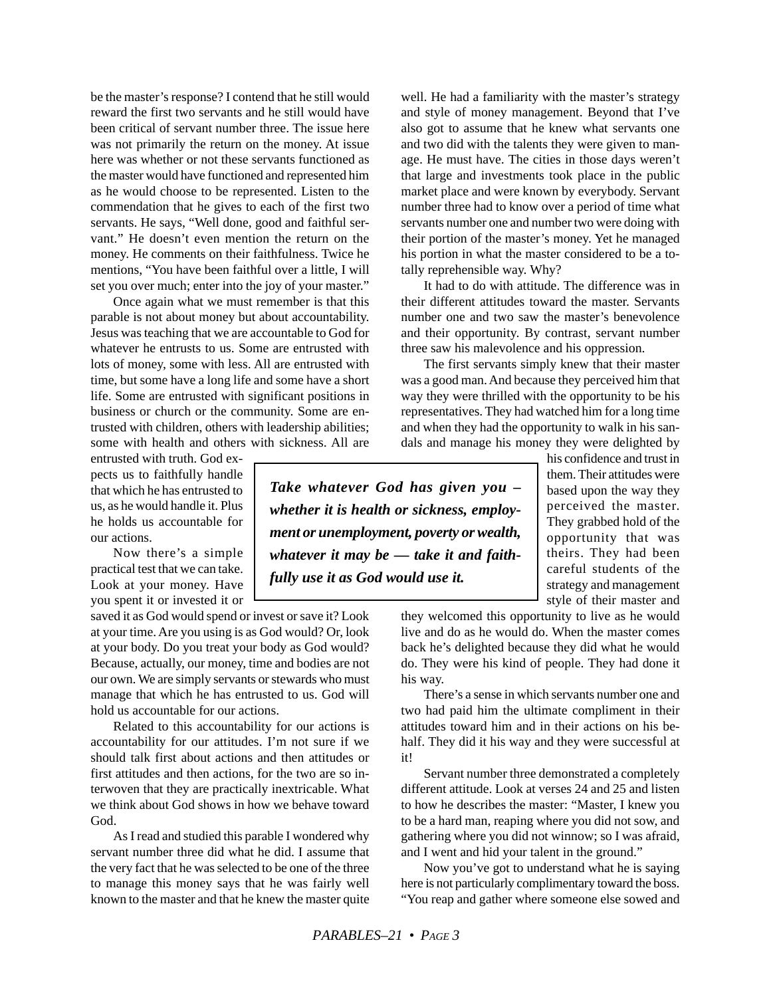be the master's response? I contend that he still would reward the first two servants and he still would have been critical of servant number three. The issue here was not primarily the return on the money. At issue here was whether or not these servants functioned as the master would have functioned and represented him as he would choose to be represented. Listen to the commendation that he gives to each of the first two servants. He says, "Well done, good and faithful servant." He doesn't even mention the return on the money. He comments on their faithfulness. Twice he mentions, "You have been faithful over a little, I will set you over much; enter into the joy of your master."

Once again what we must remember is that this parable is not about money but about accountability. Jesus was teaching that we are accountable to God for whatever he entrusts to us. Some are entrusted with lots of money, some with less. All are entrusted with time, but some have a long life and some have a short life. Some are entrusted with significant positions in business or church or the community. Some are entrusted with children, others with leadership abilities; some with health and others with sickness. All are

entrusted with truth. God expects us to faithfully handle that which he has entrusted to us, as he would handle it. Plus he holds us accountable for our actions.

Now there's a simple practical test that we can take. Look at your money. Have you spent it or invested it or

saved it as God would spend or invest or save it? Look at your time. Are you using is as God would? Or, look at your body. Do you treat your body as God would? Because, actually, our money, time and bodies are not our own. We are simply servants or stewards who must manage that which he has entrusted to us. God will hold us accountable for our actions.

Related to this accountability for our actions is accountability for our attitudes. I'm not sure if we should talk first about actions and then attitudes or first attitudes and then actions, for the two are so interwoven that they are practically inextricable. What we think about God shows in how we behave toward God.

As I read and studied this parable I wondered why servant number three did what he did. I assume that the very fact that he was selected to be one of the three to manage this money says that he was fairly well known to the master and that he knew the master quite well. He had a familiarity with the master's strategy and style of money management. Beyond that I've also got to assume that he knew what servants one and two did with the talents they were given to manage. He must have. The cities in those days weren't that large and investments took place in the public market place and were known by everybody. Servant number three had to know over a period of time what servants number one and number two were doing with their portion of the master's money. Yet he managed his portion in what the master considered to be a totally reprehensible way. Why?

It had to do with attitude. The difference was in their different attitudes toward the master. Servants number one and two saw the master's benevolence and their opportunity. By contrast, servant number three saw his malevolence and his oppression.

The first servants simply knew that their master was a good man. And because they perceived him that way they were thrilled with the opportunity to be his representatives. They had watched him for a long time and when they had the opportunity to walk in his sandals and manage his money they were delighted by

*Take whatever God has given you – whether it is health or sickness, employment or unemployment, poverty or wealth, whatever it may be — take it and faithfully use it as God would use it.*

his confidence and trust in them. Their attitudes were based upon the way they perceived the master. They grabbed hold of the opportunity that was theirs. They had been careful students of the strategy and management style of their master and

they welcomed this opportunity to live as he would live and do as he would do. When the master comes back he's delighted because they did what he would do. They were his kind of people. They had done it his way.

There's a sense in which servants number one and two had paid him the ultimate compliment in their attitudes toward him and in their actions on his behalf. They did it his way and they were successful at it!

Servant number three demonstrated a completely different attitude. Look at verses 24 and 25 and listen to how he describes the master: "Master, I knew you to be a hard man, reaping where you did not sow, and gathering where you did not winnow; so I was afraid, and I went and hid your talent in the ground."

Now you've got to understand what he is saying here is not particularly complimentary toward the boss. "You reap and gather where someone else sowed and